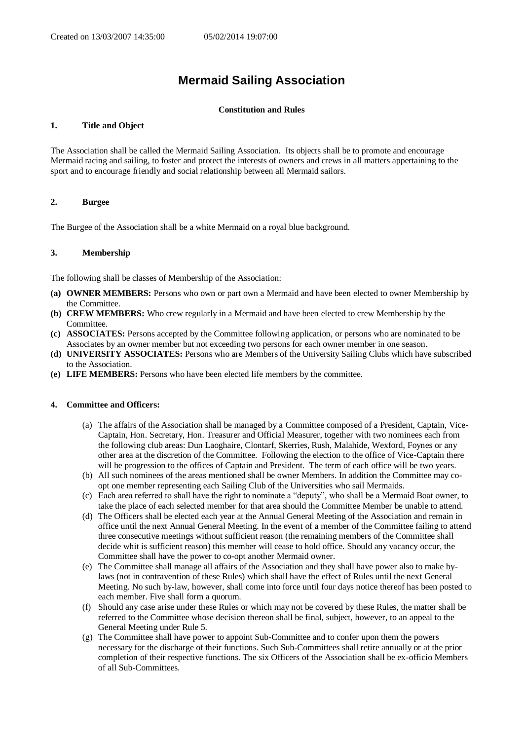# **Mermaid Sailing Association**

### **Constitution and Rules**

## **1. Title and Object**

The Association shall be called the Mermaid Sailing Association. Its objects shall be to promote and encourage Mermaid racing and sailing, to foster and protect the interests of owners and crews in all matters appertaining to the sport and to encourage friendly and social relationship between all Mermaid sailors.

# **2. Burgee**

The Burgee of the Association shall be a white Mermaid on a royal blue background.

## **3. Membership**

The following shall be classes of Membership of the Association:

- **(a) OWNER MEMBERS:** Persons who own or part own a Mermaid and have been elected to owner Membership by the Committee.
- **(b) CREW MEMBERS:** Who crew regularly in a Mermaid and have been elected to crew Membership by the Committee.
- **(c) ASSOCIATES:** Persons accepted by the Committee following application, or persons who are nominated to be Associates by an owner member but not exceeding two persons for each owner member in one season.
- **(d) UNIVERSITY ASSOCIATES:** Persons who are Members of the University Sailing Clubs which have subscribed to the Association.
- **(e) LIFE MEMBERS:** Persons who have been elected life members by the committee.

### **4. Committee and Officers:**

- (a) The affairs of the Association shall be managed by a Committee composed of a President, Captain, Vice-Captain, Hon. Secretary, Hon. Treasurer and Official Measurer, together with two nominees each from the following club areas: Dun Laoghaire, Clontarf, Skerries, Rush, Malahide, Wexford, Foynes or any other area at the discretion of the Committee. Following the election to the office of Vice-Captain there will be progression to the offices of Captain and President. The term of each office will be two years.
- (b) All such nominees of the areas mentioned shall be owner Members. In addition the Committee may coopt one member representing each Sailing Club of the Universities who sail Mermaids.
- (c) Each area referred to shall have the right to nominate a "deputy", who shall be a Mermaid Boat owner, to take the place of each selected member for that area should the Committee Member be unable to attend.
- (d) The Officers shall be elected each year at the Annual General Meeting of the Association and remain in office until the next Annual General Meeting. In the event of a member of the Committee failing to attend three consecutive meetings without sufficient reason (the remaining members of the Committee shall decide whit is sufficient reason) this member will cease to hold office. Should any vacancy occur, the Committee shall have the power to co-opt another Mermaid owner.
- (e) The Committee shall manage all affairs of the Association and they shall have power also to make bylaws (not in contravention of these Rules) which shall have the effect of Rules until the next General Meeting. No such by-law, however, shall come into force until four days notice thereof has been posted to each member. Five shall form a quorum.
- (f) Should any case arise under these Rules or which may not be covered by these Rules, the matter shall be referred to the Committee whose decision thereon shall be final, subject, however, to an appeal to the General Meeting under Rule 5.
- (g) The Committee shall have power to appoint Sub-Committee and to confer upon them the powers necessary for the discharge of their functions. Such Sub-Committees shall retire annually or at the prior completion of their respective functions. The six Officers of the Association shall be ex-officio Members of all Sub-Committees.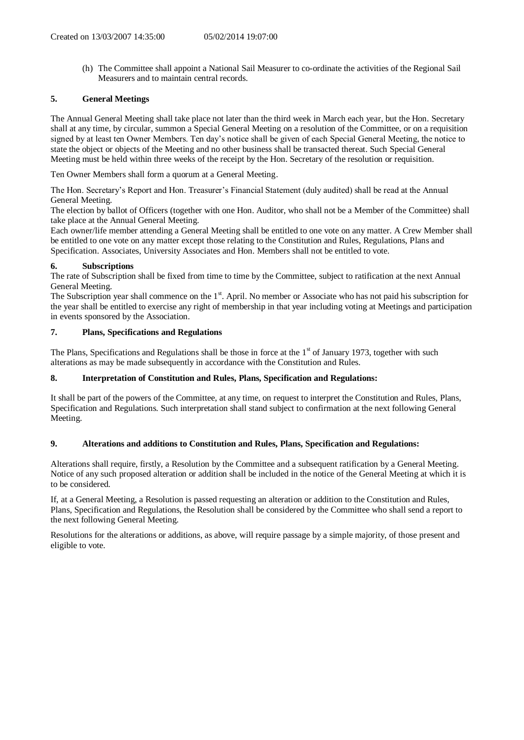(h) The Committee shall appoint a National Sail Measurer to co-ordinate the activities of the Regional Sail Measurers and to maintain central records.

# **5. General Meetings**

The Annual General Meeting shall take place not later than the third week in March each year, but the Hon. Secretary shall at any time, by circular, summon a Special General Meeting on a resolution of the Committee, or on a requisition signed by at least ten Owner Members. Ten day's notice shall be given of each Special General Meeting, the notice to state the object or objects of the Meeting and no other business shall be transacted thereat. Such Special General Meeting must be held within three weeks of the receipt by the Hon. Secretary of the resolution or requisition.

Ten Owner Members shall form a quorum at a General Meeting.

The Hon. Secretary's Report and Hon. Treasurer's Financial Statement (duly audited) shall be read at the Annual General Meeting.

The election by ballot of Officers (together with one Hon. Auditor, who shall not be a Member of the Committee) shall take place at the Annual General Meeting.

Each owner/life member attending a General Meeting shall be entitled to one vote on any matter. A Crew Member shall be entitled to one vote on any matter except those relating to the Constitution and Rules, Regulations, Plans and Specification. Associates, University Associates and Hon. Members shall not be entitled to vote.

# **6. Subscriptions**

The rate of Subscription shall be fixed from time to time by the Committee, subject to ratification at the next Annual General Meeting.

The Subscription year shall commence on the  $1<sup>st</sup>$ . April. No member or Associate who has not paid his subscription for the year shall be entitled to exercise any right of membership in that year including voting at Meetings and participation in events sponsored by the Association.

# **7. Plans, Specifications and Regulations**

The Plans, Specifications and Regulations shall be those in force at the  $1<sup>st</sup>$  of January 1973, together with such alterations as may be made subsequently in accordance with the Constitution and Rules.

# **8. Interpretation of Constitution and Rules, Plans, Specification and Regulations:**

It shall be part of the powers of the Committee, at any time, on request to interpret the Constitution and Rules, Plans, Specification and Regulations. Such interpretation shall stand subject to confirmation at the next following General Meeting.

# **9. Alterations and additions to Constitution and Rules, Plans, Specification and Regulations:**

Alterations shall require, firstly, a Resolution by the Committee and a subsequent ratification by a General Meeting. Notice of any such proposed alteration or addition shall be included in the notice of the General Meeting at which it is to be considered.

If, at a General Meeting, a Resolution is passed requesting an alteration or addition to the Constitution and Rules, Plans, Specification and Regulations, the Resolution shall be considered by the Committee who shall send a report to the next following General Meeting.

Resolutions for the alterations or additions, as above, will require passage by a simple majority, of those present and eligible to vote.